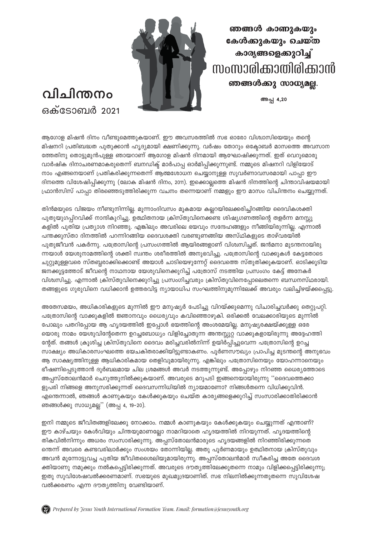ഞങ്ങൾ കാണുകയും കേൾക്കുകയും ചെയ്ത കാര്യങ്ങളെക്കുറിച്ച് സംസാരിക്കാതിരിക്കാൻ ഞങ്ങൾക്കു സാധ്യമല്ല.

അപ്പ 4,20



## **o**llം ിന്തനം <u>ഒക്ടോബർ 2021</u>

ആഗോള മിഷൻ ദിനം വീണ്ടുമെത്തുകയാണ്. ഈ അവസരത്തിൽ സഭ ഓരോ വിശ്വാസിയെയും തന്റെ മിഷനറി പ്രതിബദ്ധത പുതുക്കാൻ ഹൃദ്യമായി ക്ഷണിക്കുന്നു. വർഷം തോറും ഒക്ടോബർ മാസത്തെ അവസാന ത്തേതിനു തൊട്ടുമുൻപുള്ള ഞായറാണ് ആഗോള മിഷൻ ദിനമായി ആഘോഷിക്കുന്നത്. ഇത് വെറുമൊരു വാർഷിക ദിനാചരണമാകരുതെന്ന് ബനഡിക്ട് മാർപാപ്പ ഓർമിപ്പിക്കുന്നുണ്ട്. നമ്മുടെ മിഷനറി വിളിയോട് നാം എങ്ങനെയാണ് പ്രതികരിക്കുന്നതെന്ന് ആത്മശോധന ചെയ്യാനുള്ള സുവർണാവസരമായി പാപ്പാ ഈ ദിനത്തെ വിശേഷിപ്പിക്കുന്നു (ലോക മിഷൻ ദിനം, 2011). ഇക്കൊല്ലത്തെ മിഷൻ ദിനത്തിന്റെ ചിന്താവിഷയമായി (ഫാൻസിസ് പാപ്പാ തിരഞ്ഞെടുത്തിരിക്കുന്ന വചനം തന്നെയാണ് നമ്മളും ഈ മാസം വിചിന്തനം ചെയ്യുന്നത്.

തിൻമയുടെ വിജയം നീണ്ടുനിന്നില്ല. മുന്നാംദിവസം മുകമായ കല്പറയിലേക്കരിച്ചിറങ്ങിയ ദൈവികശക്തി പുതുയുഗപ്പിറവിക്ക് നാന്ദികുറിച്ചു. ഉത്ഥിതനായ ക്രിസ്തുവിനെക്കണ്ട ശിഷ്യഗണത്തിന്റെ തളർന്ന മനസ്സു കളിൽ പുതിയ പ്രത്യാശ നിറഞ്ഞു. എങ്കിലും അവരിലെ ഭയവും സന്ദേഹങ്ങളും നീങ്ങിയിരുന്നില്ല. എന്നാൽ പന്തക്കുസ്താ ദിനത്തിൽ പറന്നിറങ്ങിയ ദൈവശക്തി വരണ്ടുണങ്ങിയ അസ്ഥികളുടെ താഴ്വരയിൽ പുതുജീവൻ പകർന്നു. പത്രോസിന്റെ പ്രസംഗത്തിൽ ആയിരങ്ങളാണ് വിശ്വസിച്ചത്. ജൻമനാ മുടന്തനായിരു ന്നയാൾ യേശുനാമത്തിന്റെ ശക്തി സ്വന്തം ശരീരത്തിൽ അനുഭവിച്ചു. പത്രോസിന്റെ വാക്കുകൾ കേട്ടതോടെ ചുറ്റുമുള്ളവരെ സ്തബ്ധരാക്കിക്കൊണ്ട് അയാൾ ചാടിയെഴുന്നേറ്റ് ദൈവത്തെ സ്തുതിക്കുകയാണ്. ഓടിക്കുടിയ ജനക്കൂട്ടത്തോട് ജീവന്റെ നാഥനായ യേശുവിനെക്കുറിച്ച് പത്രോസ് നടത്തിയ പ്രസംഗം കേട്ട് അനേകർ വിശ്വസിച്ചു. എന്നാൽ ക്രിസ്തുവിനെക്കുറിച്ചു പ്രസംഗിച്ചവരും ക്രിസ്തുവിനെപ്പോലെതന്നെ ബന്ധനസ്ഥരായി. ്തങ്ങളുടെ ഗുരുവിനെ വധിക്കാൻ ഉത്തരവിട്ട ന്യായാധിപ സംഘത്തിനുമുന്നിലേക്ക് അവരും വലിച്ചിഴയ്ക്കപ്പെട്ടു.

അതേസമയം, അധികാരികളുടെ മുന്നിൽ ഈ മനുഷ്യർ പേടിച്ചു വിറയ്ക്കുമെന്നു വിചാരിച്ചവർക്കു തെറ്റുപറ്റി. പത്രോസിന്റെ വാക്കുകളിൽ ജ്ഞാനവും ധൈര്യവും കവിഞ്ഞൊഴുകി. ഒരിക്കൽ വേലക്കാരിയുടെ മുന്നിൽ പോലും പതറിപ്പോയ ആ ഹൃദയത്തിൽ ഇപ്പോൾ ഭയത്തിന്റെ അംശമേയില്ല. മനുഷ്യരക്ഷയ്ക്കുള്ള ഒരേ യൊരു നാമം യേശുവിന്റേതെന്ന ഉറച്ചബോധ്യം വിളിച്ചോതുന്ന അന്തസ്സുറ്റ വാക്കുകളായിരുന്നു അദ്ദേഹത്തി ന്റേത്. തങ്ങൾ ക്രൂശിച്ച ക്രിസ്തുവിനെ ദൈവം മരിച്ചവരിൽനിന്ന് ഉയിർപ്പിച്ചുവെന്ന പത്രോസിന്റെ ഉറച്ച സാക്ഷ്യം അധികാരസംഘത്തെ ഭയചകിതരാക്കിയിട്ടുണ്ടാകണം. പൂർണസൗഖ്യം പ്രാപിച്ച മുടന്തന്റെ അനുഭവം ആ സാക്ഷ്യത്തിനുള്ള ആധികാരികമായ തെളിവുമായിരുന്നു. എങ്കിലും പത്രോസിനെയും യോഹന്നാനെയും ഭീഷണിപ്പെടുത്താൻ ദുർബലമായ ചില ശ്രമങ്ങൾ അവർ നടത്തുന്നുണ്ട്. അപ്പോഴും നിറഞ്ഞ ധൈര്യത്തോടെ അപ്പസ്തോലൻമാർ ചെറുത്തുനിൽക്കുകയാണ്. അവരുടെ മറുപടി ഇങ്ങനെയായിരുന്നു ''ദൈവത്തെക്കാ ളുപരി നിങ്ങളെ അനുസരിക്കുന്നത് ദൈവസന്നിധിയിൽ ന്യായമാണോ? നിങ്ങൾതന്നെ വിധിക്കുവിൻ. എന്തെന്നാൽ, ഞങ്ങൾ കാണുകയും കേൾക്കുകയും ചെയ്ത കാര്യങ്ങളെക്കുറിച്ച് സംസാരിക്കാതിരിക്കാൻ ഞങ്ങൾക്കു സാധ്യമല്ല്'' (അപ്പ 4, 19-20).

ഇനി നമ്മുടെ ജീവിതങ്ങളിലേക്കു നോക്കാം. നമ്മൾ കാണുകയും കേൾക്കുകയും ചെയ്യുന്നത് എന്താണ്? ഈ കാഴ്ചയും കേൾവിയും ചിന്തയുമാണല്ലോ നാമറിയാതെ ഹൃദയത്തിൽ നിറയുന്നത്. ഹൃദയത്തിന്റെ തികവിൽനിന്നും അധരം സംസാരിക്കുന്നു. അപ്പസ്തോലൻമാരുടെ ഹൃദയങ്ങളിൽ നിറഞ്ഞിരിക്കുന്നതെ ന്തെന്ന് അവരെ കണ്ടവരിലാർക്കും സംശയം തോന്നിയില്ല. അതു പുർണമായും ഉത്ഥിതനായ ക്രിസ്തുവും അവൻ മുന്നോട്ടുവച്ച പുതിയ ജീവിതശൈലിയുമായിരുന്നു. അപ്പസ്തോലൻമാർ സ്ഥീകരിച്ച അതേ ദൈവശ ക്തിയാണു നമുക്കും നൽകപ്പെട്ടിരിക്കുന്നത്. അവരുടെ ദൗതൃത്തിലേക്കുതന്നെ നാമും വിളിക്കപ്പെട്ടിരിക്കുന്നു; ഇതു സുവിശേഷവൽക്കരണമാണ്. സഭയുടെ മുഖമുദ്രയാണിത്. സഭ നിലനിൽക്കുന്നതുതന്നെ സുവിശേഷ വൽക്കരണം എന്ന ദൗതൃത്തിനു വേണ്ടിയാണ്.